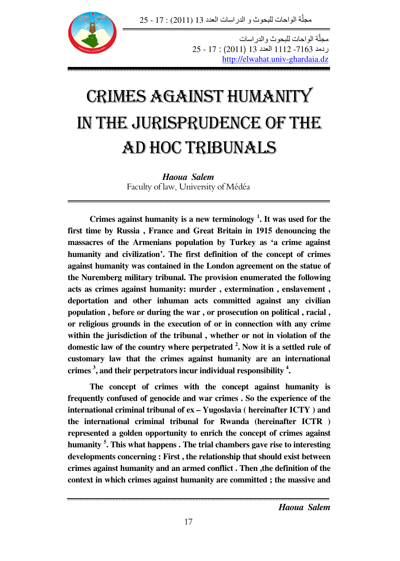مجلَّة الواحات للبحوث و الدراسات العدد 13 (2011) : 17 - 25 َّ



مجلَّة الواحات للبحوث والدراسات ردمد 7163- 1112 العدد 13 (2011) : 25 - 25 http://elwahat.univ-ghardaia.dz

æ

# CRIMES AGAINST HUMANITY IN THE JURISPRUDENCE OF THE AD HOC TRIBUNALS

*Haoua Salem* Faculty of law, University of Médéa

**Crimes against humanity is a new terminology <sup>1</sup> . It was used for the first time by Russia , France and Great Britain in 1915 denouncing the massacres of the Armenians population by Turkey as 'a crime against humanity and civilization'. The first definition of the concept of crimes against humanity was contained in the London agreement on the statue of the Nuremberg military tribunal. The provision enumerated the following acts as crimes against humanity: murder , extermination , enslavement , deportation and other inhuman acts committed against any civilian population , before or during the war , or prosecution on political , racial , or religious grounds in the execution of or in connection with any crime within the jurisdiction of the tribunal , whether or not in violation of the domestic law of the country where perpetrated <sup>2</sup> . Now it is a settled rule of customary law that the crimes against humanity are an international crimes <sup>3</sup> , and their perpetrators incur individual responsibility <sup>4</sup> .** 

**The concept of crimes with the concept against humanity is frequently confused of genocide and war crimes . So the experience of the international criminal tribunal of ex – Yugoslavia ( hereinafter ICTY ) and the international criminal tribunal for Rwanda (hereinafter ICTR ) represented a golden opportunity to enrich the concept of crimes against humanity <sup>5</sup> . This what happens . The trial chambers gave rise to interesting developments concerning : First , the relationship that should exist between crimes against humanity and an armed conflict . Then ,the definition of the context in which crimes against humanity are committed ; the massive and**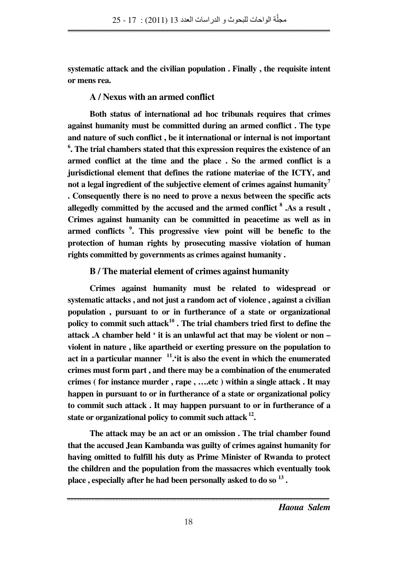**systematic attack and the civilian population . Finally , the requisite intent or mens rea.** 

# **A / Nexus with an armed conflict**

**Both status of international ad hoc tribunals requires that crimes against humanity must be committed during an armed conflict . The type and nature of such conflict , be it international or internal is not important 6 . The trial chambers stated that this expression requires the existence of an armed conflict at the time and the place . So the armed conflict is a jurisdictional element that defines the ratione materiae of the ICTY, and not a legal ingredient of the subjective element of crimes against humanity<sup>7</sup> . Consequently there is no need to prove a nexus between the specific acts allegedly committed by the accused and the armed conflict <sup>8</sup> .As a result , Crimes against humanity can be committed in peacetime as well as in armed conflicts <sup>9</sup> . This progressive view point will be benefic to the protection of human rights by prosecuting massive violation of human rights committed by governments as crimes against humanity .** 

## **B / The material element of crimes against humanity**

**Crimes against humanity must be related to widespread or systematic attacks , and not just a random act of violence , against a civilian population , pursuant to or in furtherance of a state or organizational policy to commit such attack<sup>10</sup> . The trial chambers tried first to define the attack .A chamber held ' it is an unlawful act that may be violent or non – violent in nature , like apartheid or exerting pressure on the population to act in a particular manner <sup>11</sup>.'it is also the event in which the enumerated crimes must form part , and there may be a combination of the enumerated crimes ( for instance murder , rape , ….etc ) within a single attack . It may happen in pursuant to or in furtherance of a state or organizational policy to commit such attack . It may happen pursuant to or in furtherance of a**  state or organizational policy to commit such attack  $^{12}$ .

**The attack may be an act or an omission . The trial chamber found that the accused Jean Kambanda was guilty of crimes against humanity for having omitted to fulfill his duty as Prime Minister of Rwanda to protect the children and the population from the massacres which eventually took place , especially after he had been personally asked to do so <sup>13</sup> .**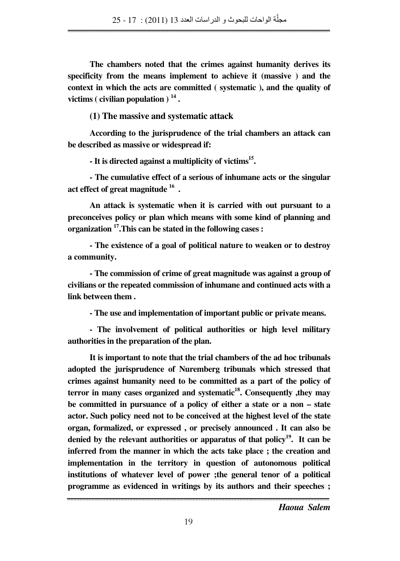**The chambers noted that the crimes against humanity derives its specificity from the means implement to achieve it (massive ) and the context in which the acts are committed ( systematic ), and the quality of victims ( civilian population ) <sup>14</sup> .** 

**(1) The massive and systematic attack**

**According to the jurisprudence of the trial chambers an attack can be described as massive or widespread if:** 

**- It is directed against a multiplicity of victims<sup>15</sup> .** 

**- The cumulative effect of a serious of inhumane acts or the singular act effect of great magnitude <sup>16</sup> .** 

**An attack is systematic when it is carried with out pursuant to a preconceives policy or plan which means with some kind of planning and organization <sup>17</sup>.This can be stated in the following cases :** 

**- The existence of a goal of political nature to weaken or to destroy a community.** 

**- The commission of crime of great magnitude was against a group of civilians or the repeated commission of inhumane and continued acts with a link between them .** 

**- The use and implementation of important public or private means.** 

**- The involvement of political authorities or high level military authorities in the preparation of the plan.** 

**It is important to note that the trial chambers of the ad hoc tribunals adopted the jurisprudence of Nuremberg tribunals which stressed that crimes against humanity need to be committed as a part of the policy of terror in many cases organized and systematic<sup>18</sup>. Consequently ,they may be committed in pursuance of a policy of either a state or a non – state actor. Such policy need not to be conceived at the highest level of the state organ, formalized, or expressed , or precisely announced . It can also be denied by the relevant authorities or apparatus of that policy<sup>19</sup>. It can be inferred from the manner in which the acts take place ; the creation and implementation in the territory in question of autonomous political institutions of whatever level of power ;the general tenor of a political programme as evidenced in writings by its authors and their speeches ;**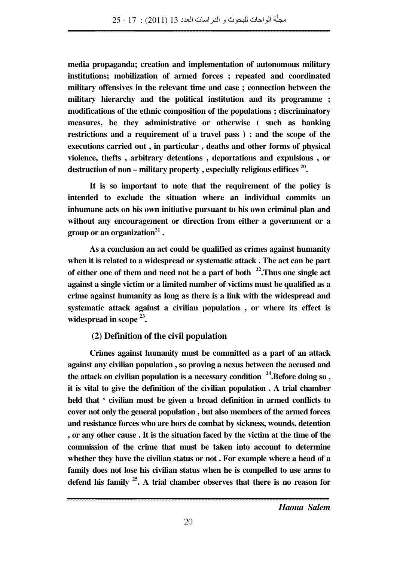**media propaganda; creation and implementation of autonomous military institutions; mobilization of armed forces ; repeated and coordinated military offensives in the relevant time and case ; connection between the military hierarchy and the political institution and its programme ; modifications of the ethnic composition of the populations ; discriminatory measures, be they administrative or otherwise ( such as banking restrictions and a requirement of a travel pass ) ; and the scope of the executions carried out , in particular , deaths and other forms of physical violence, thefts , arbitrary detentions , deportations and expulsions , or destruction of non – military property , especially religious edifices <sup>20</sup> .** 

**It is so important to note that the requirement of the policy is intended to exclude the situation where an individual commits an inhumane acts on his own initiative pursuant to his own criminal plan and without any encouragement or direction from either a government or a group or an organization<sup>21</sup> .** 

**As a conclusion an act could be qualified as crimes against humanity when it is related to a widespread or systematic attack . The act can be part of either one of them and need not be a part of both <sup>22</sup>.Thus one single act against a single victim or a limited number of victims must be qualified as a crime against humanity as long as there is a link with the widespread and systematic attack against a civilian population , or where its effect is widespread in scope <sup>23</sup> .** 

### **(2) Definition of the civil population**

**Crimes against humanity must be committed as a part of an attack against any civilian population , so proving a nexus between the accused and the attack on civilian population is a necessary condition <sup>24</sup>.Before doing so , it is vital to give the definition of the civilian population . A trial chamber held that ' civilian must be given a broad definition in armed conflicts to cover not only the general population , but also members of the armed forces and resistance forces who are hors de combat by sickness, wounds, detention , or any other cause . It is the situation faced by the victim at the time of the commission of the crime that must be taken into account to determine whether they have the civilian status or not . For example where a head of a family does not lose his civilian status when he is compelled to use arms to defend his family <sup>25</sup>. A trial chamber observes that there is no reason for**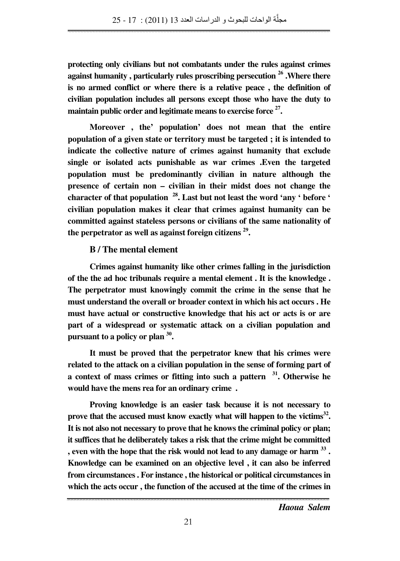**protecting only civilians but not combatants under the rules against crimes against humanity , particularly rules proscribing persecution <sup>26</sup> .Where there is no armed conflict or where there is a relative peace , the definition of civilian population includes all persons except those who have the duty to maintain public order and legitimate means to exercise force <sup>27</sup> .** 

**Moreover , the' population' does not mean that the entire population of a given state or territory must be targeted ; it is intended to indicate the collective nature of crimes against humanity that exclude single or isolated acts punishable as war crimes .Even the targeted population must be predominantly civilian in nature although the presence of certain non – civilian in their midst does not change the character of that population <sup>28</sup>. Last but not least the word 'any ' before ' civilian population makes it clear that crimes against humanity can be committed against stateless persons or civilians of the same nationality of the perpetrator as well as against foreign citizens <sup>29</sup> .** 

#### **B / The mental element**

**Crimes against humanity like other crimes falling in the jurisdiction of the the ad hoc tribunals require a mental element . It is the knowledge . The perpetrator must knowingly commit the crime in the sense that he must understand the overall or broader context in which his act occurs . He must have actual or constructive knowledge that his act or acts is or are part of a widespread or systematic attack on a civilian population and pursuant to a policy or plan <sup>30</sup> .** 

**It must be proved that the perpetrator knew that his crimes were related to the attack on a civilian population in the sense of forming part of a context of mass crimes or fitting into such a pattern <sup>31</sup>. Otherwise he would have the mens rea for an ordinary crime .** 

**Proving knowledge is an easier task because it is not necessary to prove that the accused must know exactly what will happen to the victims<sup>32</sup> . It is not also not necessary to prove that he knows the criminal policy or plan; it suffices that he deliberately takes a risk that the crime might be committed , even with the hope that the risk would not lead to any damage or harm <sup>33</sup> . Knowledge can be examined on an objective level , it can also be inferred from circumstances . For instance , the historical or political circumstances in which the acts occur , the function of the accused at the time of the crimes in**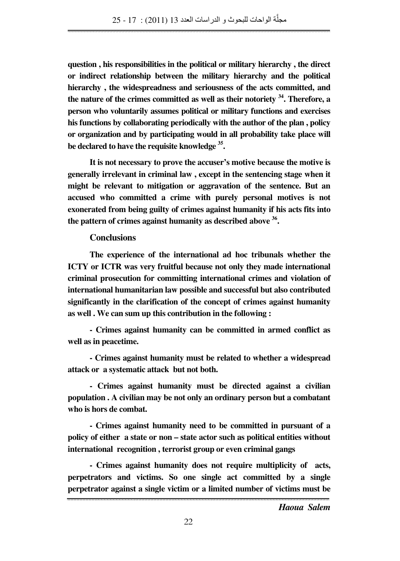**question , his responsibilities in the political or military hierarchy , the direct or indirect relationship between the military hierarchy and the political hierarchy , the widespreadness and seriousness of the acts committed, and the nature of the crimes committed as well as their notoriety <sup>34</sup>. Therefore, a person who voluntarily assumes political or military functions and exercises his functions by collaborating periodically with the author of the plan , policy or organization and by participating would in all probability take place will be declared to have the requisite knowledge <sup>35</sup> .** 

**It is not necessary to prove the accuser's motive because the motive is generally irrelevant in criminal law , except in the sentencing stage when it might be relevant to mitigation or aggravation of the sentence. But an accused who committed a crime with purely personal motives is not exonerated from being guilty of crimes against humanity if his acts fits into the pattern of crimes against humanity as described above <sup>36</sup> .** 

#### **Conclusions**

**The experience of the international ad hoc tribunals whether the ICTY or ICTR was very fruitful because not only they made international criminal prosecution for committing international crimes and violation of international humanitarian law possible and successful but also contributed significantly in the clarification of the concept of crimes against humanity as well . We can sum up this contribution in the following :** 

**- Crimes against humanity can be committed in armed conflict as well as in peacetime.** 

**- Crimes against humanity must be related to whether a widespread attack or a systematic attack but not both.** 

**- Crimes against humanity must be directed against a civilian population . A civilian may be not only an ordinary person but a combatant who is hors de combat.** 

**- Crimes against humanity need to be committed in pursuant of a policy of either a state or non – state actor such as political entities without international recognition , terrorist group or even criminal gangs** 

**- Crimes against humanity does not require multiplicity of acts, perpetrators and victims. So one single act committed by a single perpetrator against a single victim or a limited number of victims must be**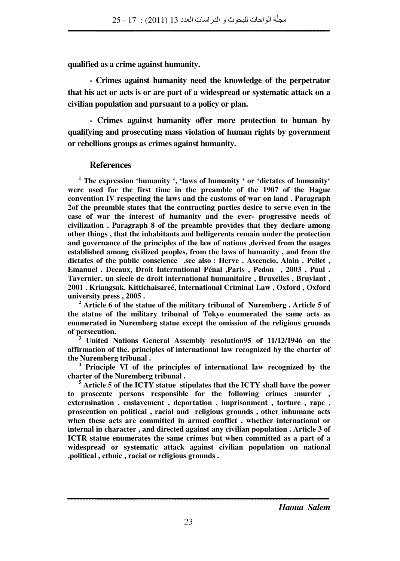**qualified as a crime against humanity.** 

**- Crimes against humanity need the knowledge of the perpetrator that his act or acts is or are part of a widespread or systematic attack on a civilian population and pursuant to a policy or plan.** 

**- Crimes against humanity offer more protection to human by qualifying and prosecuting mass violation of human rights by government or rebellions groups as crimes against humanity.** 

#### **References**

 **1 The expression 'humanity ', 'laws of humanity ' or 'dictates of humanity' were used for the first time in the preamble of the 1907 of the Hague convention IV respecting the laws and the customs of war on land . Paragraph 2of the preamble states that the contracting parties desire to serve even in the case of war the interest of humanity and the ever- progressive needs of civilization . Paragraph 8 of the preamble provides that they declare among other things , that the inhabitants and belligerents remain under the protection and governance of the principles of the law of nations ,derived from the usages established among civilized peoples, from the laws of humanity , and from the dictates of the public conscience .see also : Herve . Ascencio, Alain . Pellet , Emanuel . Decaux, Droit International Pénal ,Paris , Pedon , 2003 . Paul . Tavernier, un siecle de droit international humanitaire , Bruxelles , Bruylant , 2001 . Kriangsak. Kittichaisareé, International Criminal Law , Oxford , Oxford university press , 2005 .** 

**2 Article 6 of the statue of the military tribunal of Nuremberg . Article 5 of the statue of the military tribunal of Tokyo enumerated the same acts as enumerated in Nuremberg statue except the omission of the religious grounds of persecution.** 

**3 United Nations General Assembly resolution95 of 11/12/1946 on the affirmation of the. principles of international law recognized by the charter of the Nuremberg tribunal .** 

**4 Principle VI of the principles of international law recognized by the charter of the Nuremberg tribunal .** 

**5 Article 5 of the ICTY statue stipulates that the ICTY shall have the power to prosecute persons responsible for the following crimes :murder , extermination , enslavement , deportation , imprisonment , torture , rape , prosecution on political , racial and religious grounds , other inhumane acts when these acts are committed in armed conflict , whether international or internal in character , and directed against any civilian population . Article 3 of ICTR statue enumerates the same crimes but when committed as a part of a widespread or systematic attack against civilian population on national ,political , ethnic , racial or religious grounds .**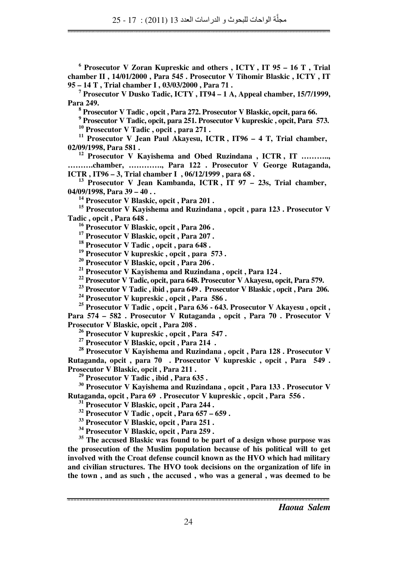**6 Prosecutor V Zoran Kupreskic and others , ICTY , IT 95 – 16 T , Trial chamber II , 14/01/2000 , Para 545 . Prosecutor V Tihomir Blaskic , ICTY , IT 95 – 14 T , Trial chamber I , 03/03/2000 , Para 71 .** 

**7 Prosecutor V Dusko Tadic, ICTY , IT94 – 1 A, Appeal chamber, 15/7/1999, Para 249.** 

**8 Prosecutor V Tadic , opcit , Para 272. Prosecutor V Blaskic, opcit, para 66.** 

<sup>9</sup> Prosecutor V Tadic, opcit, para 251. Prosecutor V kupreskic, opcit, Para 573. **<sup>10</sup> Prosecutor V Tadic , opcit , para 271 .** 

**<sup>11</sup> Prosecutor V Jean Paul Akayesu, ICTR , IT96 – 4 T, Trial chamber, 02/09/1998, Para 581 .** 

<sup>12</sup> Prosecutor V Kayishema and Obed Ruzindana, ICTR, IT ........... **……….chamber, …………., Para 122 . Prosecutor V George Rutaganda, ICTR , IT96 – 3, Trial chamber I , 06/12/1999 , para 68 .** 

**<sup>13</sup> Prosecutor V Jean Kambanda, ICTR , IT 97 – 23s, Trial chamber, 04/09/1998, Para 39 – 40 . .** 

**<sup>14</sup> Prosecutor V Blaskic, opcit , Para 201 .** 

**<sup>15</sup> Prosecutor V Kayishema and Ruzindana , opcit , para 123 . Prosecutor V Tadic , opcit , Para 648 .** 

**<sup>16</sup> Prosecutor V Blaskic, opcit , Para 206 .** 

**<sup>17</sup> Prosecutor V Blaskic, opcit , Para 207 .** 

**<sup>18</sup> Prosecutor V Tadic , opcit , para 648 .** 

**<sup>19</sup> Prosecutor V kupreskic , opcit , para 573 .** 

**<sup>20</sup> Prosecutor V Blaskic, opcit , Para 206 .** 

**<sup>21</sup> Prosecutor V Kayishema and Ruzindana , opcit , Para 124 .** 

**<sup>22</sup> Prosecutor V Tadic, opcit, para 648. Prosecutor V Akayesu, opcit, Para 579.** 

**<sup>23</sup> Prosecutor V Tadic , ibid , para 649 . Prosecutor V Blaskic , opcit , Para 206.** 

**<sup>24</sup> Prosecutor V kupreskic , opcit , Para 586 .** 

**<sup>25</sup> Prosecutor V Tadic , opcit , Para 636 - 643. Prosecutor V Akayesu , opcit , Para 574 – 582 . Prosecutor V Rutaganda , opcit , Para 70 . Prosecutor V Prosecutor V Blaskic, opcit , Para 208 .** 

**<sup>26</sup> Prosecutor V kupreskic , opcit , Para 547 .** 

**<sup>27</sup> Prosecutor V Blaskic, opcit , Para 214 .** 

**<sup>28</sup> Prosecutor V Kayishema and Ruzindana , opcit , Para 128 . Prosecutor V Rutaganda, opcit , para 70 . Prosecutor V kupreskic , opcit , Para 549 . Prosecutor V Blaskic, opcit , Para 211 .** 

**<sup>29</sup> Prosecutor V Tadic , ibid , Para 635 .** 

**<sup>30</sup> Prosecutor V Kayishema and Ruzindana , opcit , Para 133 . Prosecutor V Rutaganda, opcit , Para 69 . Prosecutor V kupreskic , opcit , Para 556 .** 

**<sup>31</sup> Prosecutor V Blaskic, opcit , Para 244 .** 

**<sup>32</sup> Prosecutor V Tadic , opcit , Para 657 – 659 .** 

**<sup>33</sup> Prosecutor V Blaskic, opcit , Para 251 .** 

**<sup>34</sup> Prosecutor V Blaskic, opcit , Para 259 .** 

**<sup>35</sup> The accused Blaskic was found to be part of a design whose purpose was the prosecution of the Muslim population because of his political will to get involved with the Croat defense council known as the HVO which had military and civilian structures. The HVO took decisions on the organization of life in the town , and as such , the accused , who was a general , was deemed to be**